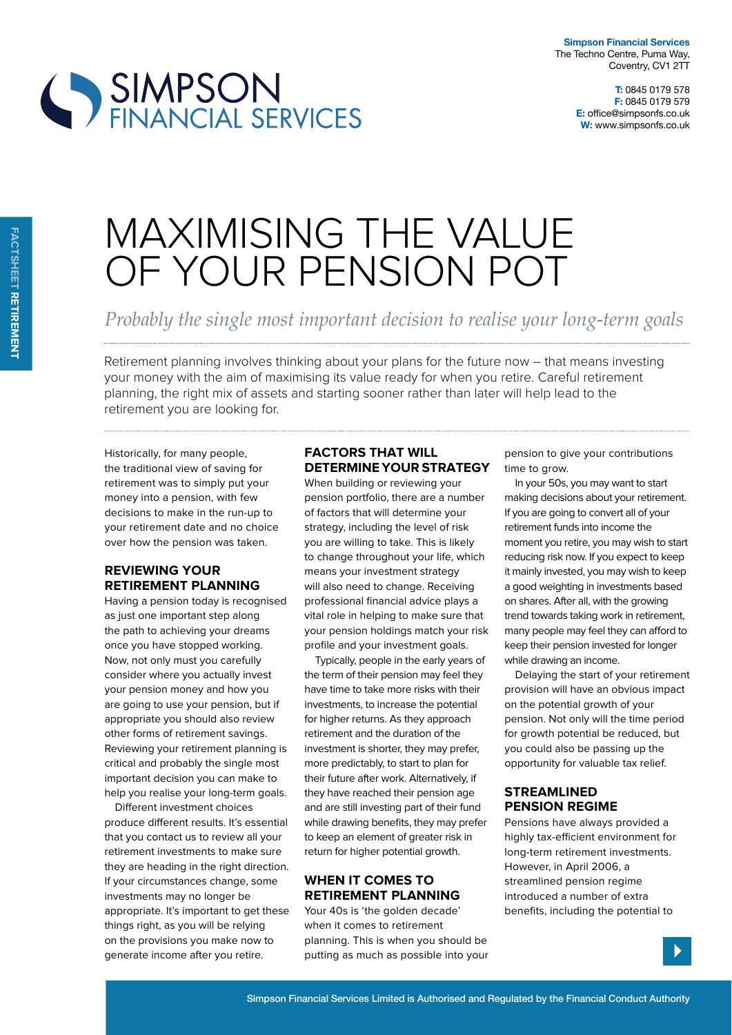

# SIMPSON<br>FINANCIAL SERVICES

# MAXIMISING THE VALUE OF YOUR PENSION POT

*Probably the single most important decision to realise your long-term goals*

Retirement planning involves thinking about your plans for the future now – that means investing your money with the aim of maximising its value ready for when you retire. Careful retirement planning, the right mix of assets and starting sooner rather than later will help lead to the retirement you are looking for.

Historically, for many people, the traditional view of saving for retirement was to simply put your money into a pension, with few decisions to make in the run-up to your retirement date and no choice over how the pension was taken.

# **reviewing your retirement planning**

Having a pension today is recognised as just one important step along the path to achieving your dreams once you have stopped working. Now, not only must you carefully consider where you actually invest your pension money and how you are going to use your pension, but if appropriate you should also review other forms of retirement savings. Reviewing your retirement planning is critical and probably the single most important decision you can make to help you realise your long-term goals.

Diferent investment choices produce diferent results. It's essential that you contact us to review all your retirement investments to make sure they are heading in the right direction. If your circumstances change, some investments may no longer be appropriate. It's important to get these things right, as you will be relying on the provisions you make now to generate income after you retire.

#### **Factors tHat will determine your strategy**

When building or reviewing your pension portfolio, there are a number of factors that will determine your strategy, including the level of risk you are willing to take. This is likely to change throughout your life, which means your investment strategy will also need to change. Receiving professional financial advice plays a vital role in helping to make sure that your pension holdings match your risk profile and your investment goals.

Typically, people in the early years of the term of their pension may feel they have time to take more risks with their investments, to increase the potential for higher returns. As they approach retirement and the duration of the investment is shorter, they may prefer, more predictably, to start to plan for their future after work. Alternatively, if they have reached their pension age and are still investing part of their fund while drawing benefits, they may prefer to keep an element of greater risk in return for higher potential growth.

## **wHen it comes to retirement planning**

Your 40s is 'the golden decade' when it comes to retirement planning. This is when you should be putting as much as possible into your pension to give your contributions time to grow.

In your 50s, you may want to start making decisions about your retirement. If you are going to convert all of your retirement funds into income the moment you retire, you may wish to start reducing risk now. If you expect to keep it mainly invested, you may wish to keep a good weighting in investments based on shares. After all, with the growing trend towards taking work in retirement, many people may feel they can afford to keep their pension invested for longer while drawing an income.

Delaying the start of your retirement provision will have an obvious impact on the potential growth of your pension. Not only will the time period for growth potential be reduced, but you could also be passing up the opportunity for valuable tax relief.

## **streamlined pension regime**

Pensions have always provided a highly tax-efficient environment for long-term retirement investments. However, in April 2006, a streamlined pension regime introduced a number of extra benefits, including the potential to